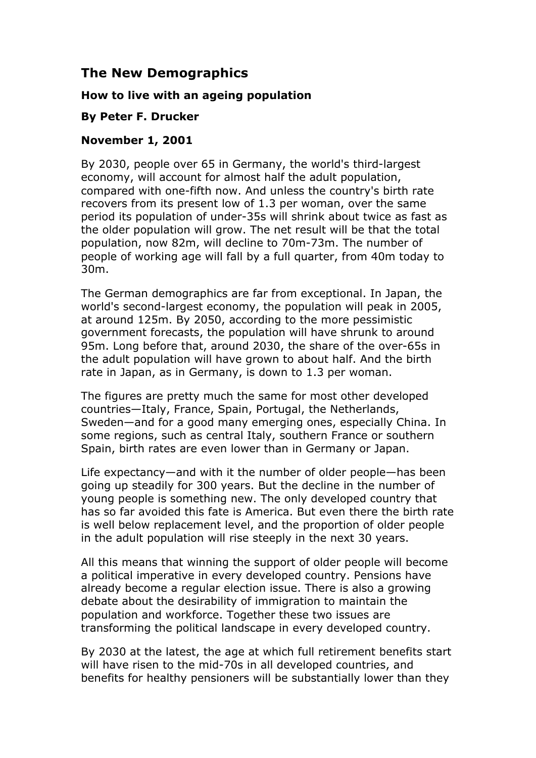# **The New Demographics**

# **How to live with an ageing population**

## **By Peter F. Drucker**

### **November 1, 2001**

By 2030, people over 65 in Germany, the world's third-largest economy, will account for almost half the adult population, compared with one-fifth now. And unless the country's birth rate recovers from its present low of 1.3 per woman, over the same period its population of under-35s will shrink about twice as fast as the older population will grow. The net result will be that the total population, now 82m, will decline to 70m-73m. The number of people of working age will fall by a full quarter, from 40m today to 30m.

The German demographics are far from exceptional. In Japan, the world's second-largest economy, the population will peak in 2005, at around 125m. By 2050, according to the more pessimistic government forecasts, the population will have shrunk to around 95m. Long before that, around 2030, the share of the over-65s in the adult population will have grown to about half. And the birth rate in Japan, as in Germany, is down to 1.3 per woman.

The figures are pretty much the same for most other developed countries—Italy, France, Spain, Portugal, the Netherlands, Sweden—and for a good many emerging ones, especially China. In some regions, such as central Italy, southern France or southern Spain, birth rates are even lower than in Germany or Japan.

Life expectancy—and with it the number of older people—has been going up steadily for 300 years. But the decline in the number of young people is something new. The only developed country that has so far avoided this fate is America. But even there the birth rate is well below replacement level, and the proportion of older people in the adult population will rise steeply in the next 30 years.

All this means that winning the support of older people will become a political imperative in every developed country. Pensions have already become a regular election issue. There is also a growing debate about the desirability of immigration to maintain the population and workforce. Together these two issues are transforming the political landscape in every developed country.

By 2030 at the latest, the age at which full retirement benefits start will have risen to the mid-70s in all developed countries, and benefits for healthy pensioners will be substantially lower than they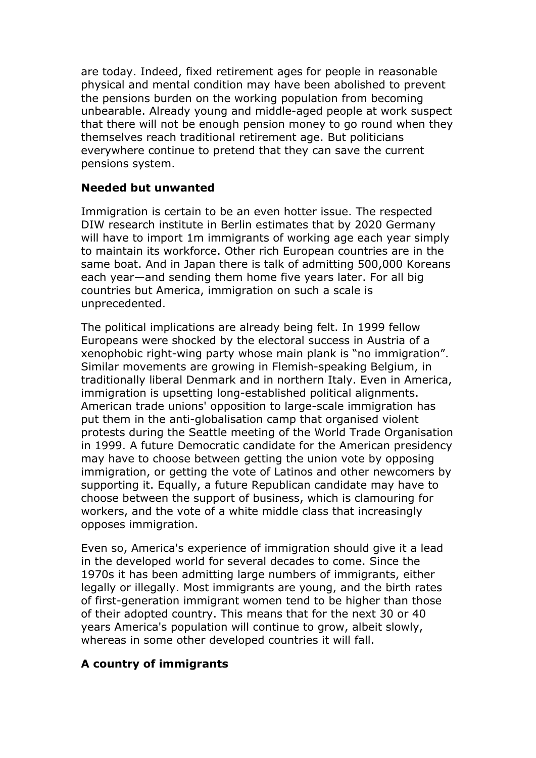are today. Indeed, fixed retirement ages for people in reasonable physical and mental condition may have been abolished to prevent the pensions burden on the working population from becoming unbearable. Already young and middle-aged people at work suspect that there will not be enough pension money to go round when they themselves reach traditional retirement age. But politicians everywhere continue to pretend that they can save the current pensions system.

## **Needed but unwanted**

Immigration is certain to be an even hotter issue. The respected DIW research institute in Berlin estimates that by 2020 Germany will have to import 1m immigrants of working age each year simply to maintain its workforce. Other rich European countries are in the same boat. And in Japan there is talk of admitting 500,000 Koreans each year—and sending them home five years later. For all big countries but America, immigration on such a scale is unprecedented.

The political implications are already being felt. In 1999 fellow Europeans were shocked by the electoral success in Austria of a xenophobic right-wing party whose main plank is "no immigration". Similar movements are growing in Flemish-speaking Belgium, in traditionally liberal Denmark and in northern Italy. Even in America, immigration is upsetting long-established political alignments. American trade unions' opposition to large-scale immigration has put them in the anti-globalisation camp that organised violent protests during the Seattle meeting of the World Trade Organisation in 1999. A future Democratic candidate for the American presidency may have to choose between getting the union vote by opposing immigration, or getting the vote of Latinos and other newcomers by supporting it. Equally, a future Republican candidate may have to choose between the support of business, which is clamouring for workers, and the vote of a white middle class that increasingly opposes immigration.

Even so, America's experience of immigration should give it a lead in the developed world for several decades to come. Since the 1970s it has been admitting large numbers of immigrants, either legally or illegally. Most immigrants are young, and the birth rates of first-generation immigrant women tend to be higher than those of their adopted country. This means that for the next 30 or 40 years America's population will continue to grow, albeit slowly, whereas in some other developed countries it will fall.

#### **A country of immigrants**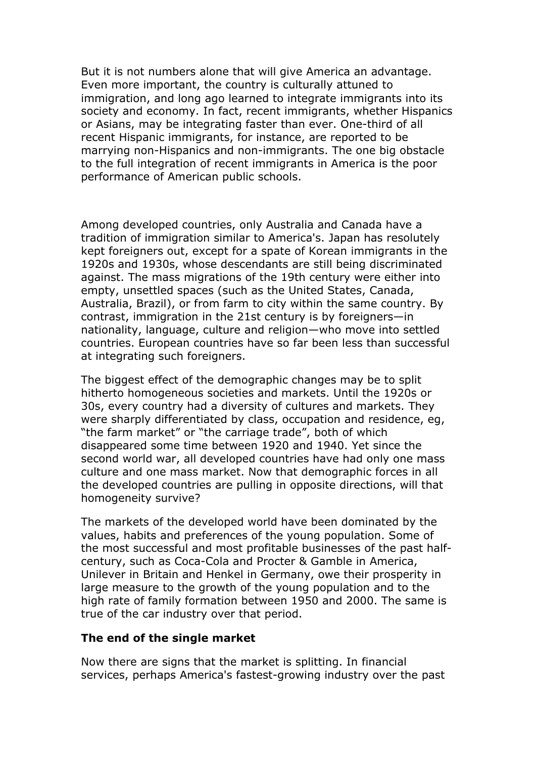But it is not numbers alone that will give America an advantage. Even more important, the country is culturally attuned to immigration, and long ago learned to integrate immigrants into its society and economy. In fact, recent immigrants, whether Hispanics or Asians, may be integrating faster than ever. One-third of all recent Hispanic immigrants, for instance, are reported to be marrying non-Hispanics and non-immigrants. The one big obstacle to the full integration of recent immigrants in America is the poor performance of American public schools.

Among developed countries, only Australia and Canada have a tradition of immigration similar to America's. Japan has resolutely kept foreigners out, except for a spate of Korean immigrants in the 1920s and 1930s, whose descendants are still being discriminated against. The mass migrations of the 19th century were either into empty, unsettled spaces (such as the United States, Canada, Australia, Brazil), or from farm to city within the same country. By contrast, immigration in the 21st century is by foreigners—in nationality, language, culture and religion—who move into settled countries. European countries have so far been less than successful at integrating such foreigners.

The biggest effect of the demographic changes may be to split hitherto homogeneous societies and markets. Until the 1920s or 30s, every country had a diversity of cultures and markets. They were sharply differentiated by class, occupation and residence, eg, "the farm market" or "the carriage trade", both of which disappeared some time between 1920 and 1940. Yet since the second world war, all developed countries have had only one mass culture and one mass market. Now that demographic forces in all the developed countries are pulling in opposite directions, will that homogeneity survive?

The markets of the developed world have been dominated by the values, habits and preferences of the young population. Some of the most successful and most profitable businesses of the past halfcentury, such as Coca-Cola and Procter & Gamble in America, Unilever in Britain and Henkel in Germany, owe their prosperity in large measure to the growth of the young population and to the high rate of family formation between 1950 and 2000. The same is true of the car industry over that period.

#### **The end of the single market**

Now there are signs that the market is splitting. In financial services, perhaps America's fastest-growing industry over the past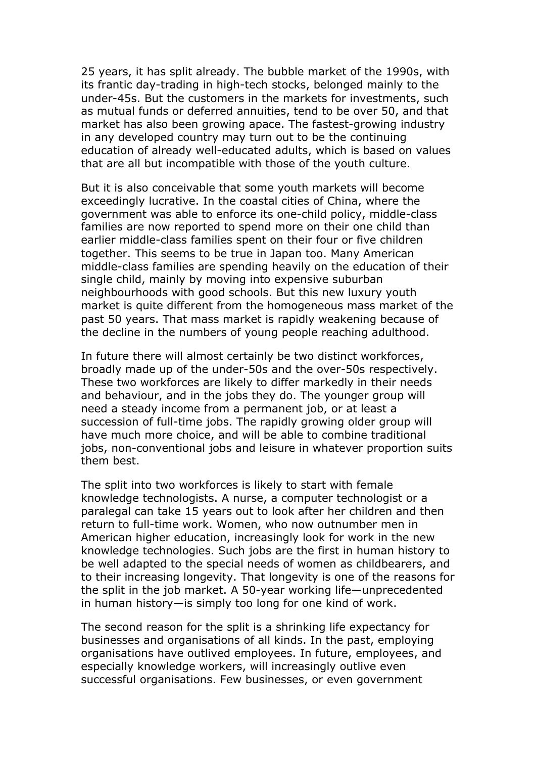25 years, it has split already. The bubble market of the 1990s, with its frantic day-trading in high-tech stocks, belonged mainly to the under-45s. But the customers in the markets for investments, such as mutual funds or deferred annuities, tend to be over 50, and that market has also been growing apace. The fastest-growing industry in any developed country may turn out to be the continuing education of already well-educated adults, which is based on values that are all but incompatible with those of the youth culture.

But it is also conceivable that some youth markets will become exceedingly lucrative. In the coastal cities of China, where the government was able to enforce its one-child policy, middle-class families are now reported to spend more on their one child than earlier middle-class families spent on their four or five children together. This seems to be true in Japan too. Many American middle-class families are spending heavily on the education of their single child, mainly by moving into expensive suburban neighbourhoods with good schools. But this new luxury youth market is quite different from the homogeneous mass market of the past 50 years. That mass market is rapidly weakening because of the decline in the numbers of young people reaching adulthood.

In future there will almost certainly be two distinct workforces, broadly made up of the under-50s and the over-50s respectively. These two workforces are likely to differ markedly in their needs and behaviour, and in the jobs they do. The younger group will need a steady income from a permanent job, or at least a succession of full-time jobs. The rapidly growing older group will have much more choice, and will be able to combine traditional jobs, non-conventional jobs and leisure in whatever proportion suits them best.

The split into two workforces is likely to start with female knowledge technologists. A nurse, a computer technologist or a paralegal can take 15 years out to look after her children and then return to full-time work. Women, who now outnumber men in American higher education, increasingly look for work in the new knowledge technologies. Such jobs are the first in human history to be well adapted to the special needs of women as childbearers, and to their increasing longevity. That longevity is one of the reasons for the split in the job market. A 50-year working life—unprecedented in human history—is simply too long for one kind of work.

The second reason for the split is a shrinking life expectancy for businesses and organisations of all kinds. In the past, employing organisations have outlived employees. In future, employees, and especially knowledge workers, will increasingly outlive even successful organisations. Few businesses, or even government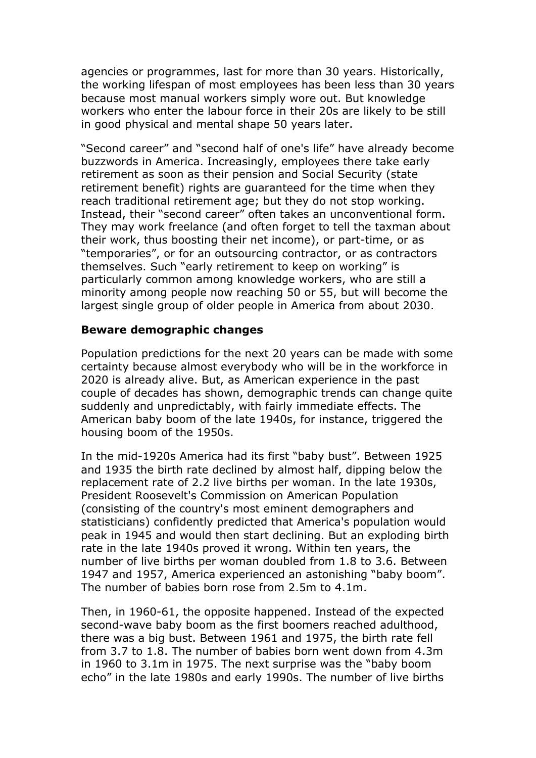agencies or programmes, last for more than 30 years. Historically, the working lifespan of most employees has been less than 30 years because most manual workers simply wore out. But knowledge workers who enter the labour force in their 20s are likely to be still in good physical and mental shape 50 years later.

"Second career" and "second half of one's life" have already become buzzwords in America. Increasingly, employees there take early retirement as soon as their pension and Social Security (state retirement benefit) rights are guaranteed for the time when they reach traditional retirement age; but they do not stop working. Instead, their "second career" often takes an unconventional form. They may work freelance (and often forget to tell the taxman about their work, thus boosting their net income), or part-time, or as "temporaries", or for an outsourcing contractor, or as contractors themselves. Such "early retirement to keep on working" is particularly common among knowledge workers, who are still a minority among people now reaching 50 or 55, but will become the largest single group of older people in America from about 2030.

#### **Beware demographic changes**

Population predictions for the next 20 years can be made with some certainty because almost everybody who will be in the workforce in 2020 is already alive. But, as American experience in the past couple of decades has shown, demographic trends can change quite suddenly and unpredictably, with fairly immediate effects. The American baby boom of the late 1940s, for instance, triggered the housing boom of the 1950s.

In the mid-1920s America had its first "baby bust". Between 1925 and 1935 the birth rate declined by almost half, dipping below the replacement rate of 2.2 live births per woman. In the late 1930s, President Roosevelt's Commission on American Population (consisting of the country's most eminent demographers and statisticians) confidently predicted that America's population would peak in 1945 and would then start declining. But an exploding birth rate in the late 1940s proved it wrong. Within ten years, the number of live births per woman doubled from 1.8 to 3.6. Between 1947 and 1957, America experienced an astonishing "baby boom". The number of babies born rose from 2.5m to 4.1m.

Then, in 1960-61, the opposite happened. Instead of the expected second-wave baby boom as the first boomers reached adulthood, there was a big bust. Between 1961 and 1975, the birth rate fell from 3.7 to 1.8. The number of babies born went down from 4.3m in 1960 to 3.1m in 1975. The next surprise was the "baby boom echo" in the late 1980s and early 1990s. The number of live births